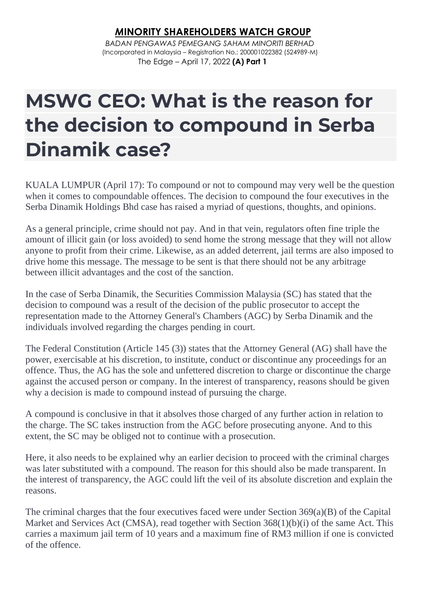## *M***INORITY SHAREHOLDERS WATCH GROUP**

*BADAN PENGAWAS PEMEGANG SAHAM MINORITI BERHAD* (Incorporated in Malaysia – Registration No.: 200001022382 (524989-M) The Edge – April 17, 2022 **(A) Part 1**

## **MSWG CEO: What is the reason for the decision to compound in Serba Dinamik case?**

KUALA LUMPUR (April 17): To compound or not to compound may very well be the question when it comes to compoundable offences. The decision to compound the four executives in the Serba Dinamik Holdings Bhd case has raised a myriad of questions, thoughts, and opinions.

As a general principle, crime should not pay. And in that vein, regulators often fine triple the amount of illicit gain (or loss avoided) to send home the strong message that they will not allow anyone to profit from their crime. Likewise, as an added deterrent, jail terms are also imposed to drive home this message. The message to be sent is that there should not be any arbitrage between illicit advantages and the cost of the sanction.

In the case of Serba Dinamik, the Securities Commission Malaysia (SC) has stated that the decision to compound was a result of the decision of the public prosecutor to accept the representation made to the Attorney General's Chambers (AGC) by Serba Dinamik and the individuals involved regarding the charges pending in court.

The Federal Constitution (Article 145 (3)) states that the Attorney General (AG) shall have the power, exercisable at his discretion, to institute, conduct or discontinue any proceedings for an offence. Thus, the AG has the sole and unfettered discretion to charge or discontinue the charge against the accused person or company. In the interest of transparency, reasons should be given why a decision is made to compound instead of pursuing the charge.

A compound is conclusive in that it absolves those charged of any further action in relation to the charge. The SC takes instruction from the AGC before prosecuting anyone. And to this extent, the SC may be obliged not to continue with a prosecution.

Here, it also needs to be explained why an earlier decision to proceed with the criminal charges was later substituted with a compound. The reason for this should also be made transparent. In the interest of transparency, the AGC could lift the veil of its absolute discretion and explain the reasons.

The criminal charges that the four executives faced were under Section 369(a)(B) of the Capital Market and Services Act (CMSA), read together with Section 368(1)(b)(i) of the same Act. This carries a maximum jail term of 10 years and a maximum fine of RM3 million if one is convicted of the offence.